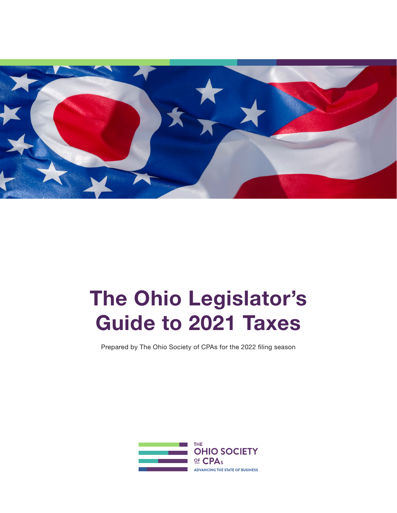

# The Ohio Legislator's Guide to 2021 Taxes

Prepared by The Ohio Society of CPAs for the 2022 filing season

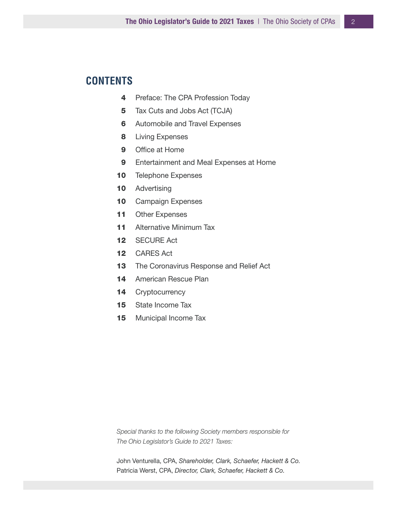# **CONTENTS**

- 4 Preface: The CPA Profession Today
- 5 Tax Cuts and Jobs Act (TCJA)
- **6** Automobile and Travel Expenses
- 8 Living Expenses
- 9 Office at Home
- 9 Entertainment and Meal Expenses at Home
- 10 Telephone Expenses
- 10 Advertising
- 10 Campaign Expenses
- 11 Other Expenses
- 11 Alternative Minimum Tax
- 12 SECURE Act
- 12 CARES Act
- 13 The Coronavirus Response and Relief Act
- 14 American Rescue Plan
- 14 Cryptocurrency
- 15 State Income Tax
- 15 Municipal Income Tax

*Special thanks to the following Society members responsible for The Ohio Legislator's Guide to 2021 Taxes:* 

John Venturella, CPA, *Shareholder, Clark, Schaefer, Hackett & Co.*  Patricia Werst, CPA, *Director, Clark, Schaefer, Hackett & Co.*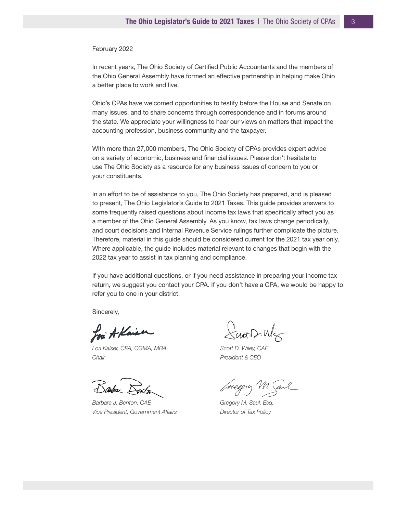#### February 2022

In recent years, The Ohio Society of Certified Public Accountants and the members of the Ohio General Assembly have formed an effective partnership in helping make Ohio a better place to work and live.

Ohio's CPAs have welcomed opportunities to testify before the House and Senate on many issues, and to share concerns through correspondence and in forums around the state. We appreciate your willingness to hear our views on matters that impact the accounting profession, business community and the taxpayer.

With more than 27,000 members, The Ohio Society of CPAs provides expert advice on a variety of economic, business and financial issues. Please don't hesitate to use The Ohio Society as a resource for any business issues of concern to you or your constituents.

In an effort to be of assistance to you, The Ohio Society has prepared, and is pleased to present, The Ohio Legislator's Guide to 2021 Taxes. This guide provides answers to some frequently raised questions about income tax laws that specifically affect you as a member of the Ohio General Assembly. As you know, tax laws change periodically, and court decisions and Internal Revenue Service rulings further complicate the picture. Therefore, material in this guide should be considered current for the 2021 tax year only. Where applicable, the guide includes material relevant to changes that begin with the 2022 tax year to assist in tax planning and compliance.

If you have additional questions, or if you need assistance in preparing your income tax return, we suggest you contact your CPA. If you don't have a CPA, we would be happy to refer you to one in your district.

Sincerely,

Loui A Kaiser

*Lori Kaiser, CPA, CGMA, MBA Chair*

Basbar

*Barbara J. Benton, CAE Vice President, Government Affairs*

 $X$ utt $D$ · $W_X$ 

*Scott D. Wiley, CAE President & CEO*

Gregory Mal

*Gregory M. Saul, Esq. Director of Tax Policy*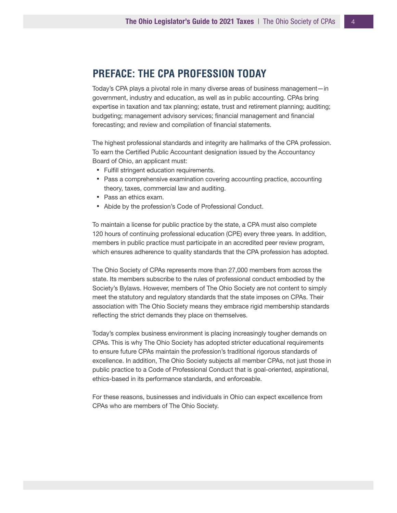## **PREFACE: THE CPA PROFESSION TODAY**

Today's CPA plays a pivotal role in many diverse areas of business management—in government, industry and education, as well as in public accounting. CPAs bring expertise in taxation and tax planning; estate, trust and retirement planning; auditing; budgeting; management advisory services; financial management and financial forecasting; and review and compilation of financial statements.

The highest professional standards and integrity are hallmarks of the CPA profession. To earn the Certified Public Accountant designation issued by the Accountancy Board of Ohio, an applicant must:

- Fulfill stringent education requirements.
- Pass a comprehensive examination covering accounting practice, accounting theory, taxes, commercial law and auditing.
- Pass an ethics exam.
- Abide by the profession's Code of Professional Conduct.

To maintain a license for public practice by the state, a CPA must also complete 120 hours of continuing professional education (CPE) every three years. In addition, members in public practice must participate in an accredited peer review program, which ensures adherence to quality standards that the CPA profession has adopted.

The Ohio Society of CPAs represents more than 27,000 members from across the state. Its members subscribe to the rules of professional conduct embodied by the Society's Bylaws. However, members of The Ohio Society are not content to simply meet the statutory and regulatory standards that the state imposes on CPAs. Their association with The Ohio Society means they embrace rigid membership standards reflecting the strict demands they place on themselves.

Today's complex business environment is placing increasingly tougher demands on CPAs. This is why The Ohio Society has adopted stricter educational requirements to ensure future CPAs maintain the profession's traditional rigorous standards of excellence. In addition, The Ohio Society subjects all member CPAs, not just those in public practice to a Code of Professional Conduct that is goal-oriented, aspirational, ethics-based in its performance standards, and enforceable.

For these reasons, businesses and individuals in Ohio can expect excellence from CPAs who are members of The Ohio Society.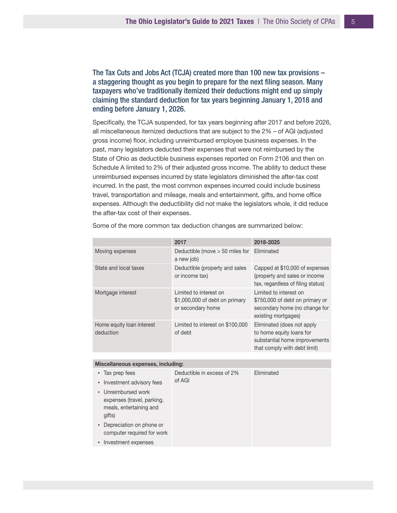The Tax Cuts and Jobs Act (TCJA) created more than 100 new tax provisions – a staggering thought as you begin to prepare for the next filing season. Many taxpayers who've traditionally itemized their deductions might end up simply claiming the standard deduction for tax years beginning January 1, 2018 and ending before January 1, 2026.

Specifically, the TCJA suspended, for tax years beginning after 2017 and before 2026, all miscellaneous itemized deductions that are subject to the 2% – of AGI (adjusted gross income) floor, including unreimbursed employee business expenses. In the past, many legislators deducted their expenses that were not reimbursed by the State of Ohio as deductible business expenses reported on Form 2106 and then on Schedule A limited to 2% of their adjusted gross income. The ability to deduct these unreimbursed expenses incurred by state legislators diminished the after-tax cost incurred. In the past, the most common expenses incurred could include business travel, transportation and mileage, meals and entertainment, gifts, and home office expenses. Although the deductibility did not make the legislators whole, it did reduce the after-tax cost of their expenses.

|                                        | 2017                                                                           | 2018-2025                                                                                                               |
|----------------------------------------|--------------------------------------------------------------------------------|-------------------------------------------------------------------------------------------------------------------------|
| Moving expenses                        | Deductible (move $>$ 50 miles for<br>a new job)                                | Eliminated                                                                                                              |
| State and local taxes                  | Deductible (property and sales<br>or income tax)                               | Capped at \$10,000 of expenses<br>(property and sales or income<br>tax, regardless of filing status)                    |
| Mortgage interest                      | I imited to interest on<br>\$1,000,000 of debt on primary<br>or secondary home | I imited to interest on<br>\$750,000 of debt on primary or<br>secondary home (no change for<br>existing mortgages)      |
| Home equity loan interest<br>deduction | Limited to interest on \$100,000<br>of debt                                    | Eliminated (does not apply<br>to home equity loans for<br>substantial home improvements<br>that comply with debt limit) |

Some of the more common tax deduction changes are summarized below:

| Miscellaneous expenses, including:                                                                                                                                                                                                      |                                      |            |  |
|-----------------------------------------------------------------------------------------------------------------------------------------------------------------------------------------------------------------------------------------|--------------------------------------|------------|--|
| • Tax prep fees<br>• Investment advisory fees<br>• Unreimbursed work<br>expenses (travel, parking,<br>meals, entertaining and<br>gifts)<br>• Depreciation on phone or<br>computer required for work<br>Investment expenses<br>$\bullet$ | Deductible in excess of 2%<br>of AGI | Fliminated |  |
|                                                                                                                                                                                                                                         |                                      |            |  |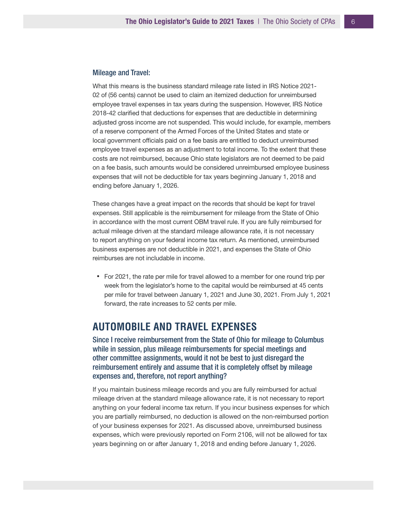#### Mileage and Travel:

What this means is the business standard mileage rate listed in IRS Notice 2021- 02 of (56 cents) cannot be used to claim an itemized deduction for unreimbursed employee travel expenses in tax years during the suspension. However, IRS Notice 2018-42 clarified that deductions for expenses that are deductible in determining adjusted gross income are not suspended. This would include, for example, members of a reserve component of the Armed Forces of the United States and state or local government officials paid on a fee basis are entitled to deduct unreimbursed employee travel expenses as an adjustment to total income. To the extent that these costs are not reimbursed, because Ohio state legislators are not deemed to be paid on a fee basis, such amounts would be considered unreimbursed employee business expenses that will not be deductible for tax years beginning January 1, 2018 and ending before January 1, 2026.

These changes have a great impact on the records that should be kept for travel expenses. Still applicable is the reimbursement for mileage from the State of Ohio in accordance with the most current OBM travel rule. If you are fully reimbursed for actual mileage driven at the standard mileage allowance rate, it is not necessary to report anything on your federal income tax return. As mentioned, unreimbursed business expenses are not deductible in 2021, and expenses the State of Ohio reimburses are not includable in income.

• For 2021, the rate per mile for travel allowed to a member for one round trip per week from the legislator's home to the capital would be reimbursed at 45 cents per mile for travel between January 1, 2021 and June 30, 2021. From July 1, 2021 forward, the rate increases to 52 cents per mile.

## **AUTOMOBILE AND TRAVEL EXPENSES**

Since I receive reimbursement from the State of Ohio for mileage to Columbus while in session, plus mileage reimbursements for special meetings and other committee assignments, would it not be best to just disregard the reimbursement entirely and assume that it is completely offset by mileage expenses and, therefore, not report anything?

If you maintain business mileage records and you are fully reimbursed for actual mileage driven at the standard mileage allowance rate, it is not necessary to report anything on your federal income tax return. If you incur business expenses for which you are partially reimbursed, no deduction is allowed on the non-reimbursed portion of your business expenses for 2021. As discussed above, unreimbursed business expenses, which were previously reported on Form 2106, will not be allowed for tax years beginning on or after January 1, 2018 and ending before January 1, 2026.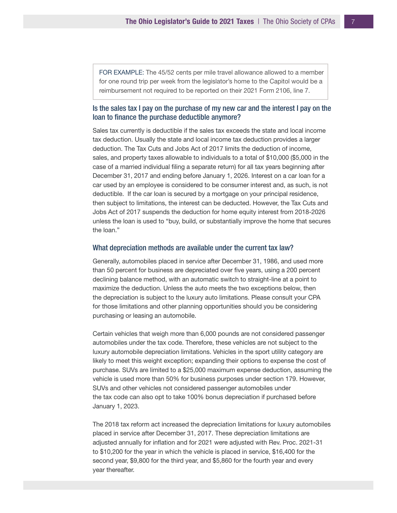FOR EXAMPLE: The 45/52 cents per mile travel allowance allowed to a member for one round trip per week from the legislator's home to the Capitol would be a reimbursement not required to be reported on their 2021 Form 2106, line 7.

#### Is the sales tax I pay on the purchase of my new car and the interest I pay on the loan to finance the purchase deductible anymore?

Sales tax currently is deductible if the sales tax exceeds the state and local income tax deduction. Usually the state and local income tax deduction provides a larger deduction. The Tax Cuts and Jobs Act of 2017 limits the deduction of income, sales, and property taxes allowable to individuals to a total of \$10,000 (\$5,000 in the case of a married individual filing a separate return) for all tax years beginning after December 31, 2017 and ending before January 1, 2026. Interest on a car loan for a car used by an employee is considered to be consumer interest and, as such, is not deductible. If the car loan is secured by a mortgage on your principal residence, then subject to limitations, the interest can be deducted. However, the Tax Cuts and Jobs Act of 2017 suspends the deduction for home equity interest from 2018-2026 unless the loan is used to "buy, build, or substantially improve the home that secures the loan."

#### What depreciation methods are available under the current tax law?

Generally, automobiles placed in service after December 31, 1986, and used more than 50 percent for business are depreciated over five years, using a 200 percent declining balance method, with an automatic switch to straight-line at a point to maximize the deduction. Unless the auto meets the two exceptions below, then the depreciation is subject to the luxury auto limitations. Please consult your CPA for those limitations and other planning opportunities should you be considering purchasing or leasing an automobile.

Certain vehicles that weigh more than 6,000 pounds are not considered passenger automobiles under the tax code. Therefore, these vehicles are not subject to the luxury automobile depreciation limitations. Vehicles in the sport utility category are likely to meet this weight exception; expanding their options to expense the cost of purchase. SUVs are limited to a \$25,000 maximum expense deduction, assuming the vehicle is used more than 50% for business purposes under section 179. However, SUVs and other vehicles not considered passenger automobiles under the tax code can also opt to take 100% bonus depreciation if purchased before January 1, 2023.

The 2018 tax reform act increased the depreciation limitations for luxury automobiles placed in service after December 31, 2017. These depreciation limitations are adjusted annually for inflation and for 2021 were adjusted with Rev. Proc. 2021-31 to \$10,200 for the year in which the vehicle is placed in service, \$16,400 for the second year, \$9,800 for the third year, and \$5,860 for the fourth year and every year thereafter.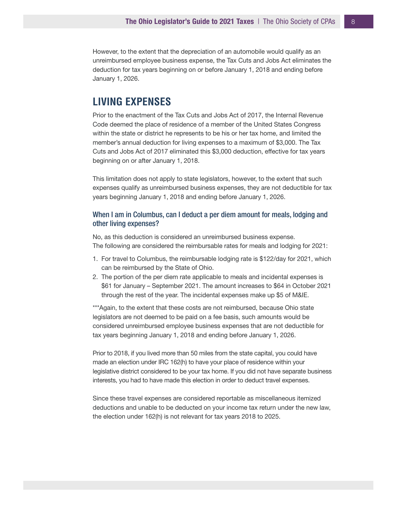However, to the extent that the depreciation of an automobile would qualify as an unreimbursed employee business expense, the Tax Cuts and Jobs Act eliminates the deduction for tax years beginning on or before January 1, 2018 and ending before January 1, 2026.

## **LIVING EXPENSES**

Prior to the enactment of the Tax Cuts and Jobs Act of 2017, the Internal Revenue Code deemed the place of residence of a member of the United States Congress within the state or district he represents to be his or her tax home, and limited the member's annual deduction for living expenses to a maximum of \$3,000. The Tax Cuts and Jobs Act of 2017 eliminated this \$3,000 deduction, effective for tax years beginning on or after January 1, 2018.

This limitation does not apply to state legislators, however, to the extent that such expenses qualify as unreimbursed business expenses, they are not deductible for tax years beginning January 1, 2018 and ending before January 1, 2026.

#### When I am in Columbus, can I deduct a per diem amount for meals, lodging and other living expenses?

No, as this deduction is considered an unreimbursed business expense. The following are considered the reimbursable rates for meals and lodging for 2021:

- 1. For travel to Columbus, the reimbursable lodging rate is \$122/day for 2021, which can be reimbursed by the State of Ohio.
- 2. The portion of the per diem rate applicable to meals and incidental expenses is \$61 for January – September 2021. The amount increases to \$64 in October 2021 through the rest of the year. The incidental expenses make up \$5 of M&IE.

\*\*\*Again, to the extent that these costs are not reimbursed, because Ohio state legislators are not deemed to be paid on a fee basis, such amounts would be considered unreimbursed employee business expenses that are not deductible for tax years beginning January 1, 2018 and ending before January 1, 2026.

Prior to 2018, if you lived more than 50 miles from the state capital, you could have made an election under IRC 162(h) to have your place of residence within your legislative district considered to be your tax home. If you did not have separate business interests, you had to have made this election in order to deduct travel expenses.

Since these travel expenses are considered reportable as miscellaneous itemized deductions and unable to be deducted on your income tax return under the new law, the election under 162(h) is not relevant for tax years 2018 to 2025.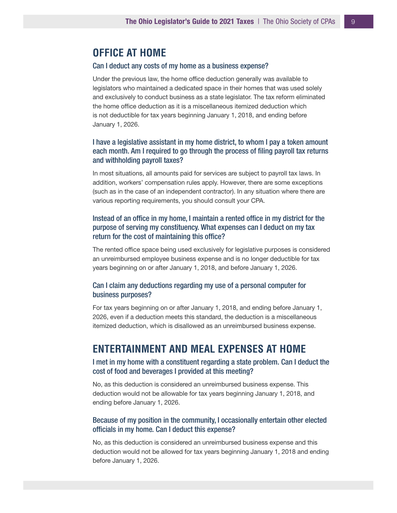## **OFFICE AT HOME**

#### Can I deduct any costs of my home as a business expense?

Under the previous law, the home office deduction generally was available to legislators who maintained a dedicated space in their homes that was used solely and exclusively to conduct business as a state legislator. The tax reform eliminated the home office deduction as it is a miscellaneous itemized deduction which is not deductible for tax years beginning January 1, 2018, and ending before January 1, 2026.

## I have a legislative assistant in my home district, to whom I pay a token amount each month. Am I required to go through the process of filing payroll tax returns and withholding payroll taxes?

In most situations, all amounts paid for services are subject to payroll tax laws. In addition, workers' compensation rules apply. However, there are some exceptions (such as in the case of an independent contractor). In any situation where there are various reporting requirements, you should consult your CPA.

## Instead of an office in my home, I maintain a rented office in my district for the purpose of serving my constituency. What expenses can I deduct on my tax return for the cost of maintaining this office?

The rented office space being used exclusively for legislative purposes is considered an unreimbursed employee business expense and is no longer deductible for tax years beginning on or after January 1, 2018, and before January 1, 2026.

#### Can I claim any deductions regarding my use of a personal computer for business purposes?

For tax years beginning on or after January 1, 2018, and ending before January 1, 2026, even if a deduction meets this standard, the deduction is a miscellaneous itemized deduction, which is disallowed as an unreimbursed business expense.

## **ENTERTAINMENT AND MEAL EXPENSES AT HOME**

#### I met in my home with a constituent regarding a state problem. Can I deduct the cost of food and beverages I provided at this meeting?

No, as this deduction is considered an unreimbursed business expense. This deduction would not be allowable for tax years beginning January 1, 2018, and ending before January 1, 2026.

#### Because of my position in the community, I occasionally entertain other elected officials in my home. Can I deduct this expense?

No, as this deduction is considered an unreimbursed business expense and this deduction would not be allowed for tax years beginning January 1, 2018 and ending before January 1, 2026.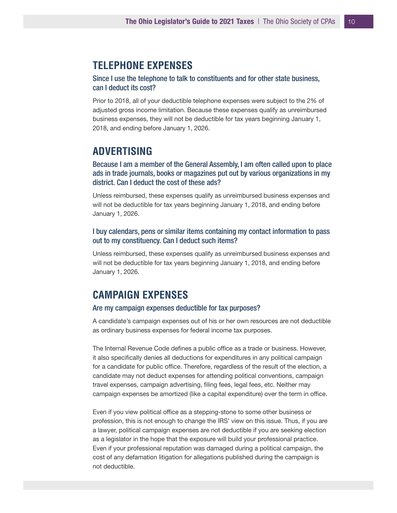## **TELEPHONE EXPENSES**

Since I use the telephone to talk to constituents and for other state business, can I deduct its cost?

Prior to 2018, all of your deductible telephone expenses were subject to the 2% of adjusted gross income limitation. Because these expenses qualify as unreimbursed business expenses, they will not be deductible for tax years beginning January 1, 2018, and ending before January 1, 2026.

## **ADVERTISING**

Because I am a member of the General Assembly, I am often called upon to place ads in trade journals, books or magazines put out by various organizations in my district. Can I deduct the cost of these ads?

Unless reimbursed, these expenses qualify as unreimbursed business expenses and will not be deductible for tax years beginning January 1, 2018, and ending before January 1, 2026.

## I buy calendars, pens or similar items containing my contact information to pass out to my constituency. Can I deduct such items?

Unless reimbursed, these expenses qualify as unreimbursed business expenses and will not be deductible for tax years beginning January 1, 2018, and ending before January 1, 2026.

## **CAMPAIGN EXPENSES**

#### Are my campaign expenses deductible for tax purposes?

A candidate's campaign expenses out of his or her own resources are not deductible as ordinary business expenses for federal income tax purposes.

The Internal Revenue Code defines a public office as a trade or business. However, it also specifically denies all deductions for expenditures in any political campaign for a candidate for public office. Therefore, regardless of the result of the election, a candidate may not deduct expenses for attending political conventions, campaign travel expenses, campaign advertising, filing fees, legal fees, etc. Neither may campaign expenses be amortized (like a capital expenditure) over the term in office.

Even if you view political office as a stepping-stone to some other business or profession, this is not enough to change the IRS' view on this issue. Thus, if you are a lawyer, political campaign expenses are not deductible if you are seeking election as a legislator in the hope that the exposure will build your professional practice. Even if your professional reputation was damaged during a political campaign, the cost of any defamation litigation for allegations published during the campaign is not deductible.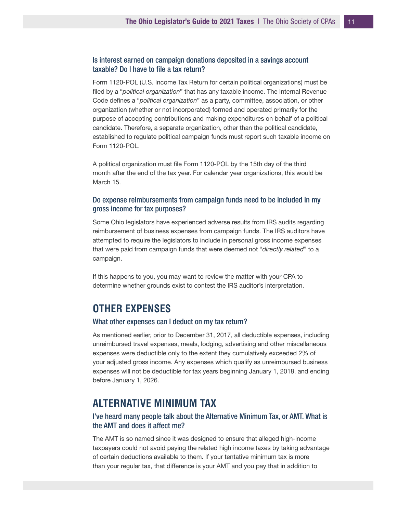## Is interest earned on campaign donations deposited in a savings account taxable? Do I have to file a tax return?

Form 1120-POL (U.S. Income Tax Return for certain political organizations) must be filed by a "*political organization*" that has any taxable income. The Internal Revenue Code defines a "*political organization*" as a party, committee, association, or other organization (whether or not incorporated) formed and operated primarily for the purpose of accepting contributions and making expenditures on behalf of a political candidate. Therefore, a separate organization, other than the political candidate, established to regulate political campaign funds must report such taxable income on Form 1120-POL.

A political organization must file Form 1120-POL by the 15th day of the third month after the end of the tax year. For calendar year organizations, this would be March 15.

#### Do expense reimbursements from campaign funds need to be included in my gross income for tax purposes?

Some Ohio legislators have experienced adverse results from IRS audits regarding reimbursement of business expenses from campaign funds. The IRS auditors have attempted to require the legislators to include in personal gross income expenses that were paid from campaign funds that were deemed not "*directly related*" to a campaign.

If this happens to you, you may want to review the matter with your CPA to determine whether grounds exist to contest the IRS auditor's interpretation.

## **OTHER EXPENSES**

#### What other expenses can I deduct on my tax return?

As mentioned earlier, prior to December 31, 2017, all deductible expenses, including unreimbursed travel expenses, meals, lodging, advertising and other miscellaneous expenses were deductible only to the extent they cumulatively exceeded 2% of your adjusted gross income. Any expenses which qualify as unreimbursed business expenses will not be deductible for tax years beginning January 1, 2018, and ending before January 1, 2026.

## **ALTERNATIVE MINIMUM TAX**

## I've heard many people talk about the Alternative Minimum Tax, or AMT. What is the AMT and does it affect me?

The AMT is so named since it was designed to ensure that alleged high-income taxpayers could not avoid paying the related high income taxes by taking advantage of certain deductions available to them. If your tentative minimum tax is more than your regular tax, that difference is your AMT and you pay that in addition to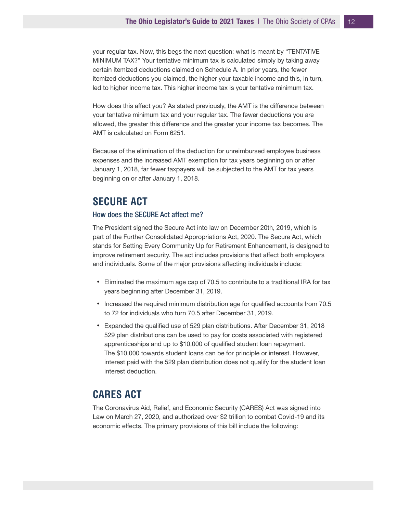your regular tax. Now, this begs the next question: what is meant by "TENTATIVE MINIMUM TAX?" Your tentative minimum tax is calculated simply by taking away certain itemized deductions claimed on Schedule A. In prior years, the fewer itemized deductions you claimed, the higher your taxable income and this, in turn, led to higher income tax. This higher income tax is your tentative minimum tax.

How does this affect you? As stated previously, the AMT is the difference between your tentative minimum tax and your regular tax. The fewer deductions you are allowed, the greater this difference and the greater your income tax becomes. The AMT is calculated on Form 6251.

Because of the elimination of the deduction for unreimbursed employee business expenses and the increased AMT exemption for tax years beginning on or after January 1, 2018, far fewer taxpayers will be subjected to the AMT for tax years beginning on or after January 1, 2018.

## **SECURE ACT**

#### How does the SECURE Act affect me?

The President signed the Secure Act into law on December 20th, 2019, which is part of the Further Consolidated Appropriations Act, 2020. The Secure Act, which stands for Setting Every Community Up for Retirement Enhancement, is designed to improve retirement security. The act includes provisions that affect both employers and individuals. Some of the major provisions affecting individuals include:

- Eliminated the maximum age cap of 70.5 to contribute to a traditional IRA for tax years beginning after December 31, 2019.
- Increased the required minimum distribution age for qualified accounts from 70.5 to 72 for individuals who turn 70.5 after December 31, 2019.
- Expanded the qualified use of 529 plan distributions. After December 31, 2018 529 plan distributions can be used to pay for costs associated with registered apprenticeships and up to \$10,000 of qualified student loan repayment. The \$10,000 towards student loans can be for principle or interest. However, interest paid with the 529 plan distribution does not qualify for the student loan interest deduction.

## **CARES ACT**

The Coronavirus Aid, Relief, and Economic Security (CARES) Act was signed into Law on March 27, 2020, and authorized over \$2 trillion to combat Covid-19 and its economic effects. The primary provisions of this bill include the following: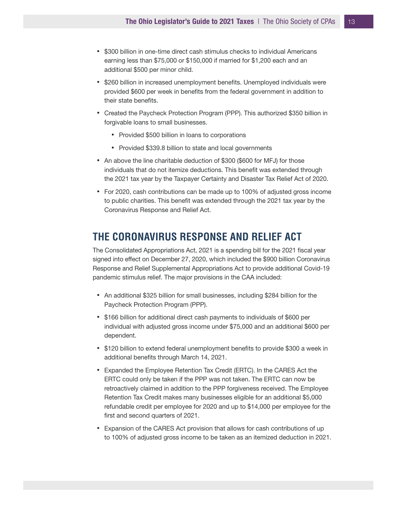- \$300 billion in one-time direct cash stimulus checks to individual Americans earning less than \$75,000 or \$150,000 if married for \$1,200 each and an additional \$500 per minor child.
- \$260 billion in increased unemployment benefits. Unemployed individuals were provided \$600 per week in benefits from the federal government in addition to their state benefits.
- Created the Paycheck Protection Program (PPP). This authorized \$350 billion in forgivable loans to small businesses.
	- Provided \$500 billion in loans to corporations
	- Provided \$339.8 billion to state and local governments
- An above the line charitable deduction of \$300 (\$600 for MFJ) for those individuals that do not itemize deductions. This benefit was extended through the 2021 tax year by the Taxpayer Certainty and Disaster Tax Relief Act of 2020.
- For 2020, cash contributions can be made up to 100% of adjusted gross income to public charities. This benefit was extended through the 2021 tax year by the Coronavirus Response and Relief Act.

# **THE CORONAVIRUS RESPONSE AND RELIEF ACT**

The Consolidated Appropriations Act, 2021 is a spending bill for the 2021 fiscal year signed into effect on December 27, 2020, which included the \$900 billion Coronavirus Response and Relief Supplemental Appropriations Act to provide additional Covid-19 pandemic stimulus relief. The major provisions in the CAA included:

- An additional \$325 billion for small businesses, including \$284 billion for the Paycheck Protection Program (PPP).
- \$166 billion for additional direct cash payments to individuals of \$600 per individual with adjusted gross income under \$75,000 and an additional \$600 per dependent.
- \$120 billion to extend federal unemployment benefits to provide \$300 a week in additional benefits through March 14, 2021.
- Expanded the Employee Retention Tax Credit (ERTC). In the CARES Act the ERTC could only be taken if the PPP was not taken. The ERTC can now be retroactively claimed in addition to the PPP forgiveness received. The Employee Retention Tax Credit makes many businesses eligible for an additional \$5,000 refundable credit per employee for 2020 and up to \$14,000 per employee for the first and second quarters of 2021.
- Expansion of the CARES Act provision that allows for cash contributions of up to 100% of adjusted gross income to be taken as an itemized deduction in 2021.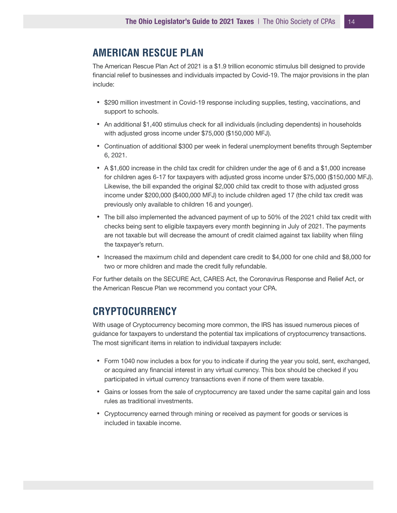## **AMERICAN RESCUE PLAN**

The American Rescue Plan Act of 2021 is a \$1.9 trillion economic stimulus bill designed to provide financial relief to businesses and individuals impacted by Covid-19. The major provisions in the plan include:

- \$290 million investment in Covid-19 response including supplies, testing, vaccinations, and support to schools.
- An additional \$1,400 stimulus check for all individuals (including dependents) in households with adjusted gross income under \$75,000 (\$150,000 MFJ).
- Continuation of additional \$300 per week in federal unemployment benefits through September 6, 2021.
- A \$1,600 increase in the child tax credit for children under the age of 6 and a \$1,000 increase for children ages 6-17 for taxpayers with adjusted gross income under \$75,000 (\$150,000 MFJ). Likewise, the bill expanded the original \$2,000 child tax credit to those with adjusted gross income under \$200,000 (\$400,000 MFJ) to include children aged 17 (the child tax credit was previously only available to children 16 and younger).
- The bill also implemented the advanced payment of up to 50% of the 2021 child tax credit with checks being sent to eligible taxpayers every month beginning in July of 2021. The payments are not taxable but will decrease the amount of credit claimed against tax liability when filing the taxpayer's return.
- Increased the maximum child and dependent care credit to \$4,000 for one child and \$8,000 for two or more children and made the credit fully refundable.

For further details on the SECURE Act, CARES Act, the Coronavirus Response and Relief Act, or the American Rescue Plan we recommend you contact your CPA.

# **CRYPTOCURRENCY**

With usage of Cryptocurrency becoming more common, the IRS has issued numerous pieces of guidance for taxpayers to understand the potential tax implications of cryptocurrency transactions. The most significant items in relation to individual taxpayers include:

- Form 1040 now includes a box for you to indicate if during the year you sold, sent, exchanged, or acquired any financial interest in any virtual currency. This box should be checked if you participated in virtual currency transactions even if none of them were taxable.
- Gains or losses from the sale of cryptocurrency are taxed under the same capital gain and loss rules as traditional investments.
- Cryptocurrency earned through mining or received as payment for goods or services is included in taxable income.